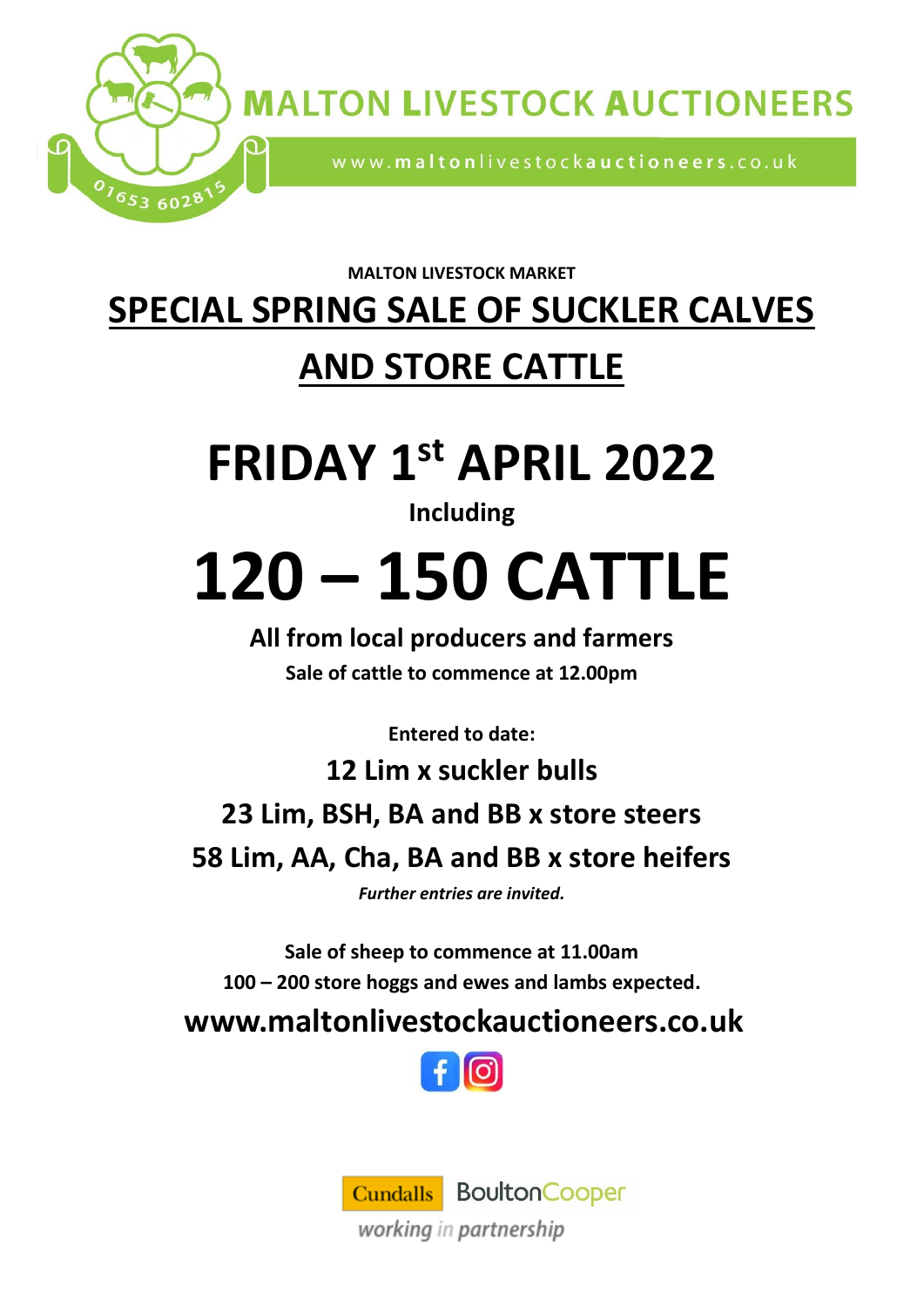

**MALTON LIVESTOCK AUCTIONEERS** 

www.maltonlivestockauctioneers.co.uk

**MALTON LIVESTOCK MARKET**

### **SPECIAL SPRING SALE OF SUCKLER CALVES AND STORE CATTLE**

## **FRIDAY 1 st APRIL 2022**

#### **Including**

# **120 – 150 CATTLE**

**All from local producers and farmers Sale of cattle to commence at 12.00pm**

**Entered to date:**

**12 Lim x suckler bulls 23 Lim, BSH, BA and BB x store steers 58 Lim, AA, Cha, BA and BB x store heifers**

*Further entries are invited.* 

**Sale of sheep to commence at 11.00am 100 – 200 store hoggs and ewes and lambs expected.**

**www.maltonlivestockauctioneers.co.uk**



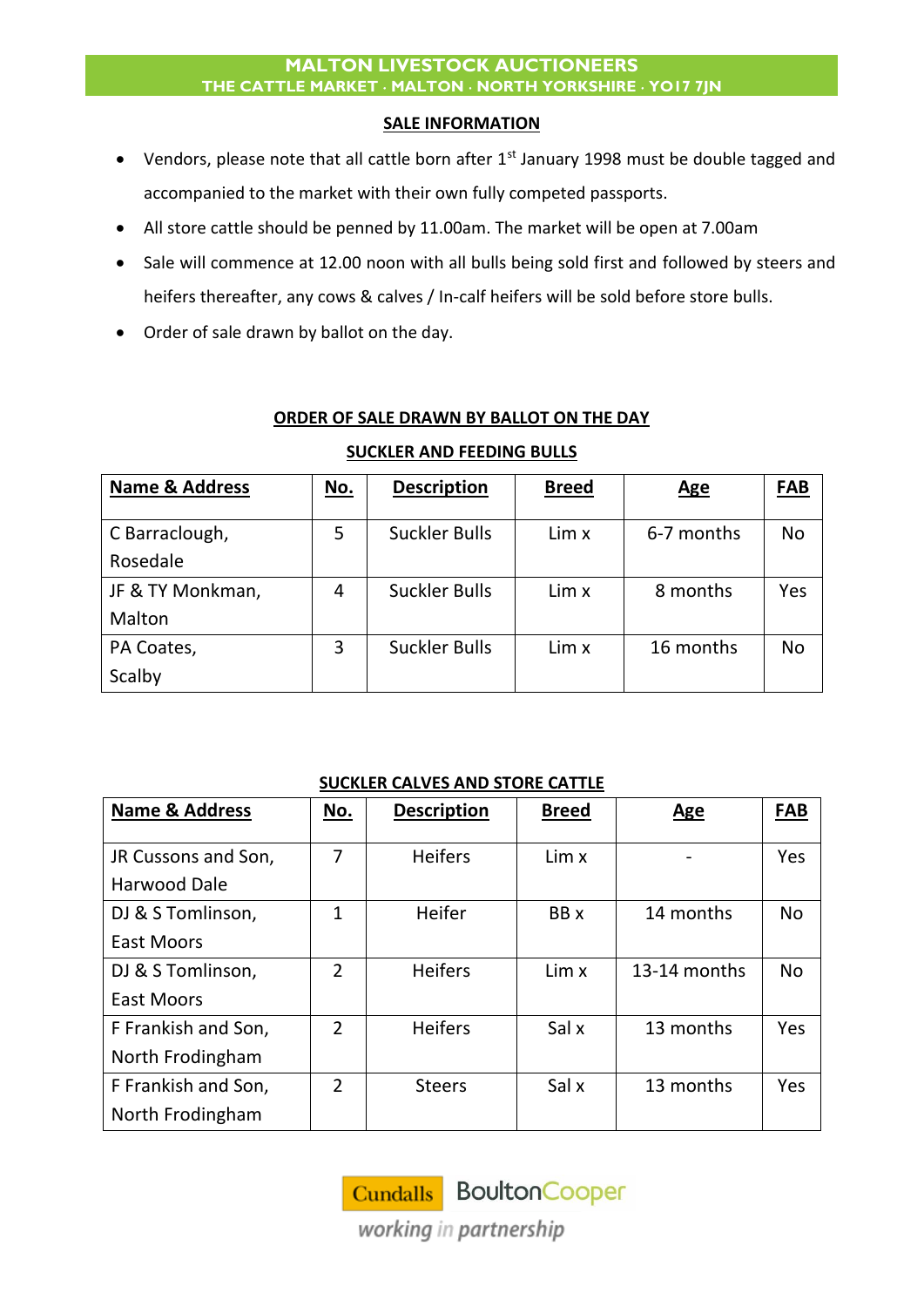#### **MALTON LIVESTOCK AUCTIONEERS THE CATTLE MARKET MALTON NORTH YORKSHIRE YO17 7JN**

#### **SALE INFORMATION**

- Vendors, please note that all cattle born after 1<sup>st</sup> January 1998 must be double tagged and accompanied to the market with their own fully competed passports.
- All store cattle should be penned by 11.00am. The market will be open at 7.00am
- Sale will commence at 12.00 noon with all bulls being sold first and followed by steers and heifers thereafter, any cows & calves / In-calf heifers will be sold before store bulls.
- Order of sale drawn by ballot on the day.

#### **ORDER OF SALE DRAWN BY BALLOT ON THE DAY**

| <b>Name &amp; Address</b> | <u>No.</u> | <b>Description</b>   | <b>Breed</b> | <u>Age</u> | <b>FAB</b> |
|---------------------------|------------|----------------------|--------------|------------|------------|
|                           |            |                      |              |            |            |
| C Barraclough,            | 5          | <b>Suckler Bulls</b> | Lim x        | 6-7 months | No         |
| Rosedale                  |            |                      |              |            |            |
| JF & TY Monkman,          | 4          | <b>Suckler Bulls</b> | Lim x        | 8 months   | Yes        |
| Malton                    |            |                      |              |            |            |
| PA Coates,                | 3          | <b>Suckler Bulls</b> | Lim x        | 16 months  | No         |
| Scalby                    |            |                      |              |            |            |

#### **SUCKLER AND FEEDING BULLS**

#### **SUCKLER CALVES AND STORE CATTLE**

| <b>Name &amp; Address</b> | No.            | <b>Description</b> | <b>Breed</b> | <b>Age</b>   | <b>FAB</b> |
|---------------------------|----------------|--------------------|--------------|--------------|------------|
|                           |                |                    |              |              |            |
| JR Cussons and Son,       | $\overline{7}$ | <b>Heifers</b>     | Lim x        |              | Yes        |
| Harwood Dale              |                |                    |              |              |            |
| DJ & S Tomlinson,         | 1              | Heifer             | BB x         | 14 months    | <b>No</b>  |
| <b>East Moors</b>         |                |                    |              |              |            |
| DJ & S Tomlinson,         | $\overline{2}$ | <b>Heifers</b>     | Lim x        | 13-14 months | <b>No</b>  |
| <b>East Moors</b>         |                |                    |              |              |            |
| F Frankish and Son,       | $\overline{2}$ | <b>Heifers</b>     | Sal x        | 13 months    | Yes        |
| North Frodingham          |                |                    |              |              |            |
| F Frankish and Son,       | $\overline{2}$ | <b>Steers</b>      | Sal x        | 13 months    | Yes        |
| North Frodingham          |                |                    |              |              |            |

Cundalls BoultonCooper

working in partnership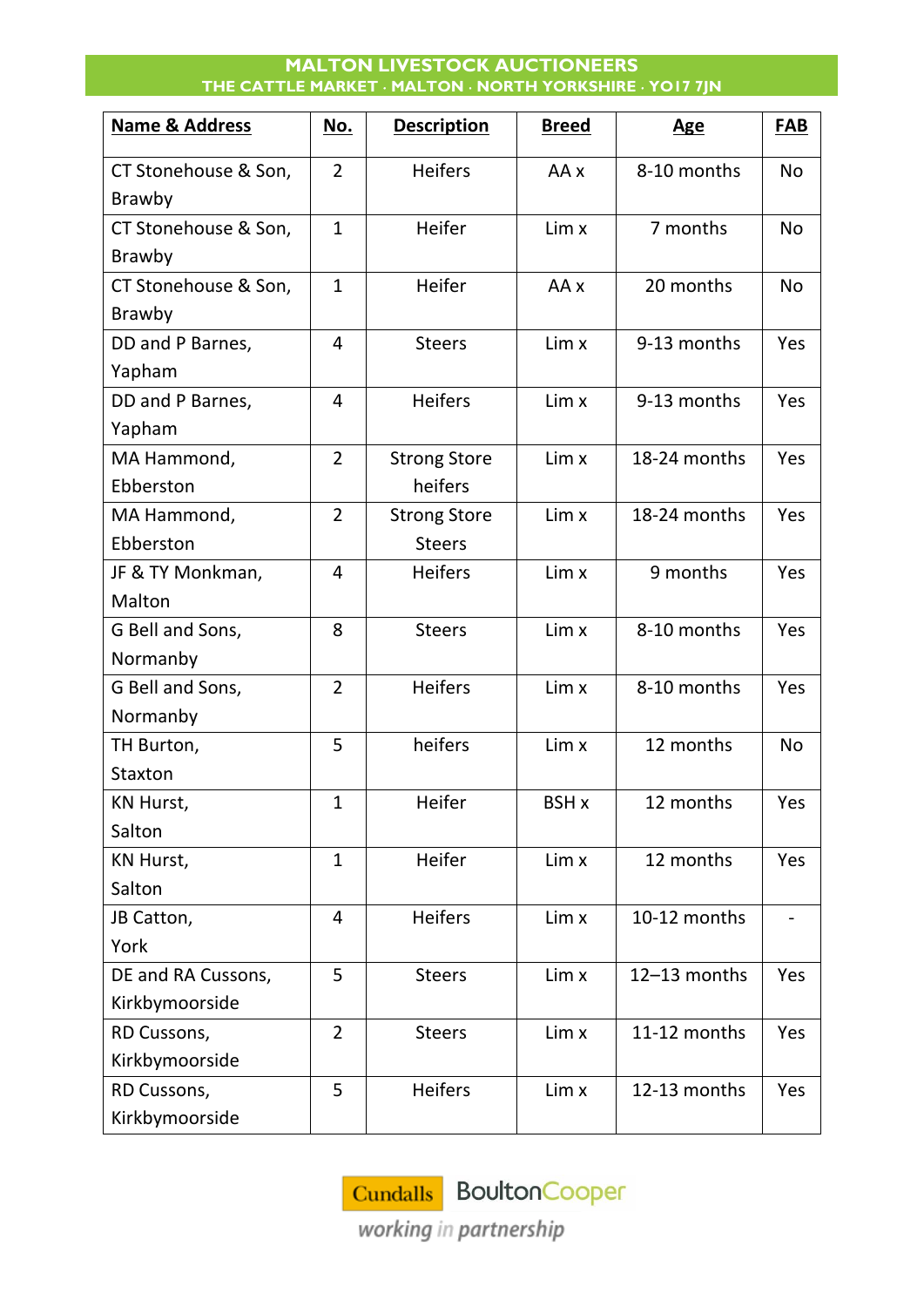#### **MALTON LIVESTOCK AUCTIONEERS THE CATTLE MARKET MALTON NORTH YORKSHIRE YO17 7JN**

| <b>Name &amp; Address</b> | No.            | <b>Description</b>  | <b>Breed</b> | <u>Age</u>   | <b>FAB</b> |
|---------------------------|----------------|---------------------|--------------|--------------|------------|
| CT Stonehouse & Son,      | $\overline{2}$ | <b>Heifers</b>      | AA x         | 8-10 months  | <b>No</b>  |
| <b>Brawby</b>             |                |                     |              |              |            |
| CT Stonehouse & Son,      | $\mathbf{1}$   | Heifer              | Lim x        | 7 months     | <b>No</b>  |
| Brawby                    |                |                     |              |              |            |
| CT Stonehouse & Son,      | $\mathbf{1}$   | Heifer              | AA x         | 20 months    | <b>No</b>  |
| Brawby                    |                |                     |              |              |            |
| DD and P Barnes,          | 4              | <b>Steers</b>       | Lim x        | 9-13 months  | Yes        |
| Yapham                    |                |                     |              |              |            |
| DD and P Barnes,          | $\overline{4}$ | <b>Heifers</b>      | Lim x        | 9-13 months  | Yes        |
| Yapham                    |                |                     |              |              |            |
| MA Hammond,               | $\overline{2}$ | <b>Strong Store</b> | Lim x        | 18-24 months | Yes        |
| Ebberston                 |                | heifers             |              |              |            |
| MA Hammond,               | $\overline{2}$ | <b>Strong Store</b> | Lim x        | 18-24 months | Yes        |
| Ebberston                 |                | <b>Steers</b>       |              |              |            |
| JF & TY Monkman,          | $\overline{4}$ | <b>Heifers</b>      | Lim x        | 9 months     | Yes        |
| Malton                    |                |                     |              |              |            |
| G Bell and Sons,          | 8              | <b>Steers</b>       | Lim x        | 8-10 months  | Yes        |
| Normanby                  |                |                     |              |              |            |
| G Bell and Sons,          | $\overline{2}$ | <b>Heifers</b>      | Lim x        | 8-10 months  | Yes        |
| Normanby                  |                |                     |              |              |            |
| TH Burton,                | 5              | heifers             | Lim x        | 12 months    | <b>No</b>  |
| Staxton                   |                |                     |              |              |            |
| KN Hurst,                 | $\mathbf 1$    | Heifer              | BSH x        | 12 months    | Yes        |
| Salton                    |                |                     |              |              |            |
| KN Hurst,                 | $\mathbf{1}$   | Heifer              | Lim x        | 12 months    | Yes        |
| Salton                    |                |                     |              |              |            |
| JB Catton,                | $\overline{4}$ | <b>Heifers</b>      | Lim x        | 10-12 months |            |
| York                      |                |                     |              |              |            |
| DE and RA Cussons,        | 5              | <b>Steers</b>       | Lim x        | 12-13 months | Yes        |
| Kirkbymoorside            |                |                     |              |              |            |
| RD Cussons,               | $\overline{2}$ | <b>Steers</b>       | Lim x        | 11-12 months | Yes        |
| Kirkbymoorside            |                |                     |              |              |            |
| RD Cussons,               | 5              | <b>Heifers</b>      | Lim x        | 12-13 months | Yes        |
| Kirkbymoorside            |                |                     |              |              |            |

Cundalls BoultonCooper

working in partnership